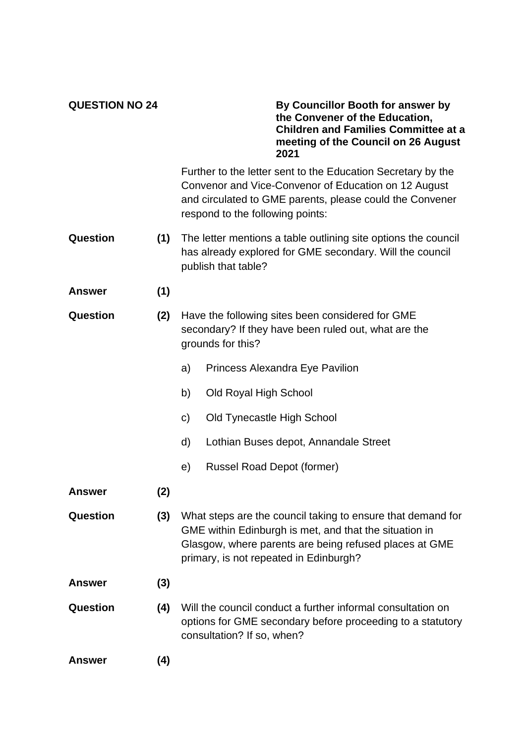| <b>QUESTION NO 24</b> |  |
|-----------------------|--|
|-----------------------|--|

**QUESTION NO 24 By Councillor Booth for answer by the Convener of the Education, Children and Families Committee at a meeting of the Council on 26 August 2021**

Further to the letter sent to the Education Secretary by the Convenor and Vice-Convenor of Education on 12 August and circulated to GME parents, please could the Convener respond to the following points:

- **Question (1)** The letter mentions a table outlining site options the council has already explored for GME secondary. Will the council publish that table?
- **Answer (1)**
- **Question (2)** Have the following sites been considered for GME secondary? If they have been ruled out, what are the grounds for this?
	- a) Princess Alexandra Eye Pavilion
	- b) Old Royal High School
	- c) Old Tynecastle High School
	- d) Lothian Buses depot, Annandale Street
	- e) Russel Road Depot (former)
- **Answer (2)**

**Question (3)** What steps are the council taking to ensure that demand for GME within Edinburgh is met, and that the situation in Glasgow, where parents are being refused places at GME primary, is not repeated in Edinburgh?

- **Answer (3)**
- **Question (4)** Will the council conduct a further informal consultation on options for GME secondary before proceeding to a statutory consultation? If so, when?

**Answer (4)**